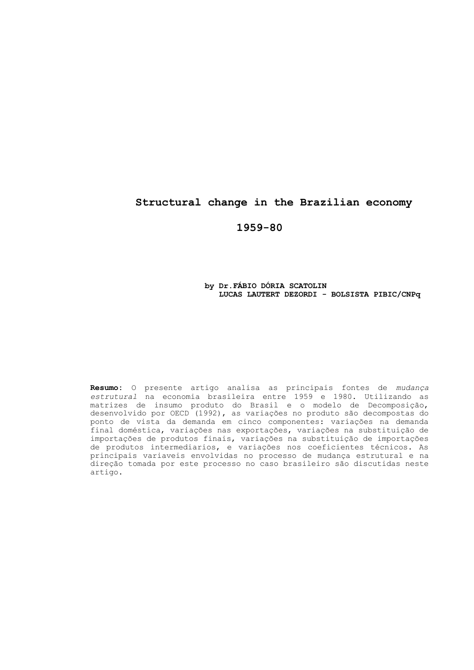## **Structural change in the Brazilian economy**

**1959-80**

### **by Dr.FÁBIO DÓRIA SCATOLIN LUCAS LAUTERT DEZORDI - BOLSISTA PIBIC/CNPq**

**Resumo:** O presente artigo analisa as principais fontes de *mudança estrutural* na economia brasileira entre 1959 e 1980. Utilizando as matrizes de insumo produto do Brasil e o modelo de Decomposição, desenvolvido por OECD (1992), as variações no produto são decompostas do ponto de vista da demanda em cinco componentes: variações na demanda final doméstica, variações nas exportações, variações na substituição de importações de produtos finais, variações na substituição de importações de produtos intermediarios, e variações nos coeficientes técnicos. As principais variaveis envolvidas no processo de mudança estrutural e na direção tomada por este processo no caso brasileiro são discutidas neste artigo.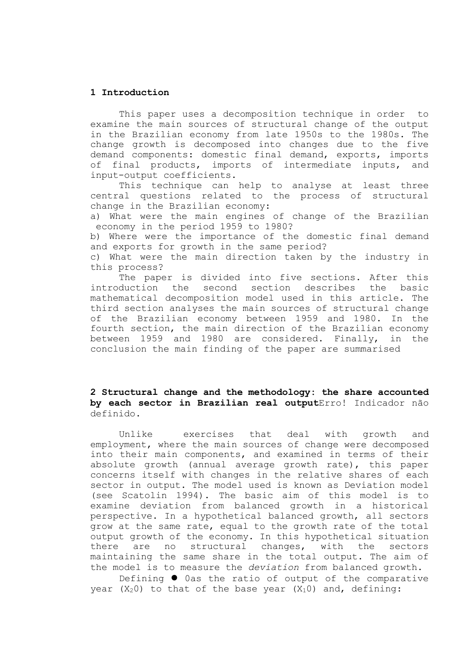### **1 Introduction**

This paper uses a decomposition technique in order to examine the main sources of structural change of the output in the Brazilian economy from late 1950s to the 1980s. The change growth is decomposed into changes due to the five demand components: domestic final demand, exports, imports of final products, imports of intermediate inputs, and input-output coefficients.

This technique can help to analyse at least three central questions related to the process of structural change in the Brazilian economy:

a) What were the main engines of change of the Brazilian economy in the period 1959 to 1980?

b) Where were the importance of the domestic final demand and exports for growth in the same period?

c) What were the main direction taken by the industry in this process?

The paper is divided into five sections. After this introduction the second section describes the basic mathematical decomposition model used in this article. The third section analyses the main sources of structural change of the Brazilian economy between 1959 and 1980. In the fourth section, the main direction of the Brazilian economy between 1959 and 1980 are considered. Finally, in the conclusion the main finding of the paper are summarised

## **2 Structural change and the methodology: the share accounted by each sector in Brazilian real output**Erro! Indicador não definido.

Unlike exercises that deal with growth and employment, where the main sources of change were decomposed into their main components, and examined in terms of their absolute growth (annual average growth rate), this paper concerns itself with changes in the relative shares of each sector in output. The model used is known as Deviation model (see Scatolin 1994). The basic aim of this model is to examine deviation from balanced growth in a historical perspective. In a hypothetical balanced growth, all sectors grow at the same rate, equal to the growth rate of the total output growth of the economy. In this hypothetical situation there are no structural changes, with the sectors maintaining the same share in the total output. The aim of the model is to measure the *deviation* from balanced growth.

Defining  $\bullet$  0as the ratio of output of the comparative year  $(X_2 0)$  to that of the base year  $(X_1 0)$  and, defining: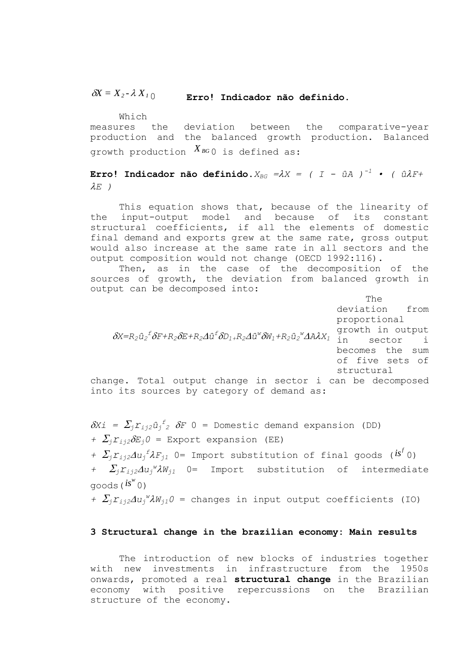#### $\delta X = X_2 - \lambda X_1$ **Erro! Indicador não definido.**

Which measures the deviation between the comparative-year production and the balanced growth production. Balanced growth production  $X_{^{BG} \, 0}$  is defined as:

**Erro!** Indicador não definido. $X_{BG} = \lambda X = (I - \hat{u}A)^{-1}$  • ( $\hat{u}\lambda F +$  $\lambda E$ )

This equation shows that, because of the linearity of the input-output model and because of its constant structural coefficients, if all the elements of domestic final demand and exports grew at the same rate, gross output would also increase at the same rate in all sectors and the output composition would not change (OECD 1992:116).

Then, as in the case of the decomposition of the sources of growth, the deviation from balanced growth in output can be decomposed into:

The deviation from proportional growth in output sector i becomes the sum of five sets of structural change. Total output change in sector i can be decomposed into its sources by category of demand as:  $\delta$ X=R2 ${{\hat{u}_2}^{\tilde{r}}} \delta$ F+R2 $\delta$ E+R2 $A{{\hat{u}}^{\tilde{r}}} \delta$ D1+R2 $A{{\hat{u}}^{\text{w}}} \delta$ W1+R2 ${{\hat{u}_2}^{\text{w}}} A$ A $\lambda$ X1

 $\delta Xi = \sum_j \Gamma_{ij2} \hat{u}_j^f$   $\delta F$  0 = Domestic demand expansion (DD) *+*  $\sum_i$  $r_{i,i2}$  $\delta$  $E_i$  $0$  = Export expansion (EE)

+  $\sum_j \sum_{j \geq 2} \lambda u_j^f \lambda F_{j1}$  0= Import substitution of final goods ( $i s^f$ 0)

*+*  $\sum_j \Gamma_{ij2} \Delta u_j^{\nu} \lambda W_{j1}$  0= Import substitution of intermediate goods( *w is* 0)

*+*  $\sum_j \Gamma_{ij2} \Delta u_j^W \lambda W_{j1} 0$  = changes in input output coefficients (IO)

### **3 Structural change in the brazilian economy: Main results**

The introduction of new blocks of industries together with new investments in infrastructure from the 1950s onwards, promoted a real **structural change** in the Brazilian economy with positive repercussions on the Brazilian structure of the economy.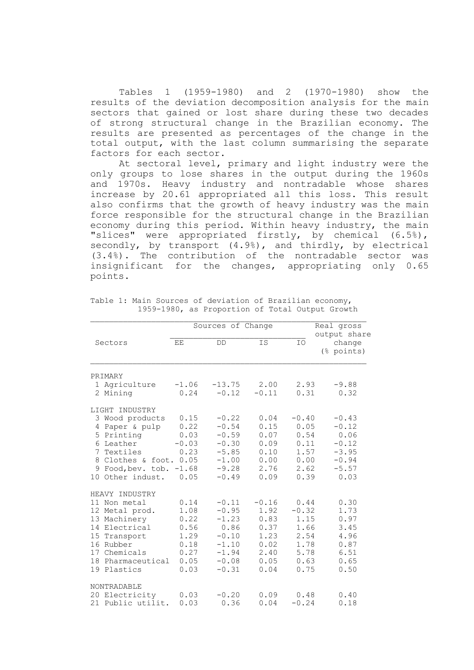Tables 1 (1959-1980) and 2 (1970-1980) show the results of the deviation decomposition analysis for the main sectors that gained or lost share during these two decades of strong structural change in the Brazilian economy. The results are presented as percentages of the change in the total output, with the last column summarising the separate factors for each sector.

At sectoral level, primary and light industry were the only groups to lose shares in the output during the 1960s and 1970s. Heavy industry and nontradable whose shares increase by 20.61 appropriated all this loss. This result also confirms that the growth of heavy industry was the main force responsible for the structural change in the Brazilian economy during this period. Within heavy industry, the main "slices" were appropriated firstly, by chemical (6.5%), secondly, by transport (4.9%), and thirdly, by electrical (3.4%). The contribution of the nontradable sector was insignificant for the changes, appropriating only 0.65 points.

|                                                                                                                                                                |                                                                      | Sources of Change                                                                            |                                                                         |                                                                         | Real gross<br>output share                                                     |
|----------------------------------------------------------------------------------------------------------------------------------------------------------------|----------------------------------------------------------------------|----------------------------------------------------------------------------------------------|-------------------------------------------------------------------------|-------------------------------------------------------------------------|--------------------------------------------------------------------------------|
| Sectors                                                                                                                                                        | ΕE                                                                   | DD                                                                                           | IS                                                                      | IO                                                                      | change<br>(% points)                                                           |
| PRIMARY                                                                                                                                                        |                                                                      |                                                                                              |                                                                         |                                                                         |                                                                                |
| 1 Agriculture<br>2 Mining                                                                                                                                      | $-1.06$<br>0.24                                                      | $-13.75$<br>$-0.12$                                                                          | 2.00<br>$-0.11$                                                         | 2.93<br>0.31                                                            | $-9.88$<br>0.32                                                                |
| LIGHT INDUSTRY                                                                                                                                                 |                                                                      |                                                                                              |                                                                         |                                                                         |                                                                                |
| 3 Wood products<br>Paper & pulp<br>4<br>5 Printing<br>6 Leather<br>7 Textiles<br>8 Clothes & foot.<br>Food, bev. tob.<br>9<br>Other indust.<br>10 <sup>1</sup> | 0.15<br>0.22<br>0.03<br>$-0.03$<br>0.23<br>0.05<br>$-1.68$<br>0.05   | $-0.22$<br>$-0.54$<br>$-0.59$<br>$-0.30$<br>$-5.85$<br>$-1.00$<br>$-9.28$<br>$-0.49$         | 0.04<br>0.15<br>0.07<br>0.09<br>0.10<br>0.00<br>2.76<br>0.09            | $-0.40$<br>0.05<br>0.54<br>0.11<br>1.57<br>0.00<br>2.62<br>0.39         | $-0.43$<br>$-0.12$<br>0.06<br>$-0.12$<br>$-3.95$<br>$-0.94$<br>$-5.57$<br>0.03 |
| HEAVY INDUSTRY                                                                                                                                                 |                                                                      |                                                                                              |                                                                         |                                                                         |                                                                                |
| 11 Non metal<br>12 Metal prod.<br>13 Machinery<br>14 Electrical<br>15 Transport<br>16 Rubber<br>17 Chemicals<br>18<br>Pharmaceutical<br>19 Plastics            | 0.14<br>1.08<br>0.22<br>0.56<br>1.29<br>0.18<br>0.27<br>0.05<br>0.03 | $-0.11$<br>$-0.95$<br>$-1.23$<br>0.86<br>$-0.10$<br>$-1.10$<br>$-1.94$<br>$-0.08$<br>$-0.31$ | $-0.16$<br>1.92<br>0.83<br>0.37<br>1.23<br>0.02<br>2.40<br>0.05<br>0.04 | 0.44<br>$-0.32$<br>1.15<br>1.66<br>2.54<br>1.78<br>5.78<br>0.63<br>0.75 | 0.30<br>1.73<br>0.97<br>3.45<br>4.96<br>0.87<br>6.51<br>0.65<br>0.50           |
| NONTRADABLE                                                                                                                                                    |                                                                      |                                                                                              |                                                                         |                                                                         |                                                                                |
| 20 Electricity<br>21 Public utilit.                                                                                                                            | 0.03<br>0.03                                                         | $-0.20$<br>0.36                                                                              | 0.09<br>0.04                                                            | 0.48<br>$-0.24$                                                         | 0.40<br>0.18                                                                   |

Table 1: Main Sources of deviation of Brazilian economy, 1959-1980, as Proportion of Total Output Growth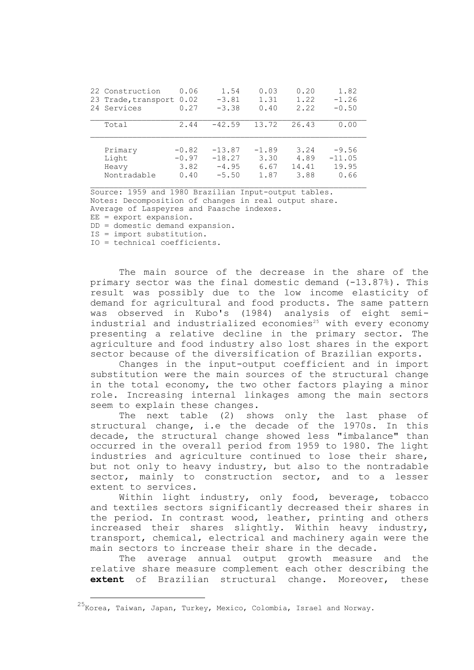| 22 Construction     | 0.06    | 1.54     | 0.03    | 0.20  | 1.82     |
|---------------------|---------|----------|---------|-------|----------|
| 23 Trade, transport | 0.02    | $-3.81$  | 1.31    | 1.22  | $-1.26$  |
| 24 Services         | 0.27    | $-3.38$  | 0.40    | 2.22  | $-0.50$  |
| Total               | 2.44    | $-42.59$ | 13.72   | 26.43 | 0.00     |
| Primary             | $-0.82$ | $-13.87$ | $-1.89$ | 3.24  | $-9.56$  |
| Light               | $-0.97$ | $-18.27$ | 3.30    | 4.89  | $-11.05$ |
| Heavy               | 3.82    | $-4.95$  | 6.67    | 14.41 | 19.95    |
| Nontradable         | 0.40    | $-5.50$  | 1.87    | 3.88  | 0.66     |

Source: 1959 and 1980 Brazilian Input-output tables. Notes: Decomposition of changes in real output share. Average of Laspeyres and Paasche indexes. EE = export expansion.

DD = domestic demand expansion.

IS = import substitution.

IO = technical coefficients.

i<br>L

The main source of the decrease in the share of the primary sector was the final domestic demand (-13.87%). This result was possibly due to the low income elasticity of demand for agricultural and food products. The same pattern was observed in Kubo's (1984) analysis of eight semiindustrial and industrialized economies<sup>25</sup> with every economy presenting a relative decline in the primary sector. The agriculture and food industry also lost shares in the export sector because of the diversification of Brazilian exports.

Changes in the input-output coefficient and in import substitution were the main sources of the structural change in the total economy, the two other factors playing a minor role. Increasing internal linkages among the main sectors seem to explain these changes.

The next table (2) shows only the last phase of structural change, i.e the decade of the 1970s. In this decade, the structural change showed less "imbalance" than occurred in the overall period from 1959 to 1980. The light industries and agriculture continued to lose their share, but not only to heavy industry, but also to the nontradable sector, mainly to construction sector, and to a lesser extent to services.

Within light industry, only food, beverage, tobacco and textiles sectors significantly decreased their shares in the period. In contrast wood, leather, printing and others increased their shares slightly. Within heavy industry, transport, chemical, electrical and machinery again were the main sectors to increase their share in the decade.

The average annual output growth measure and the relative share measure complement each other describing the **extent** of Brazilian structural change. Moreover, these

<sup>&</sup>lt;sup>25</sup>Korea, Taiwan, Japan, Turkey, Mexico, Colombia, Israel and Norway.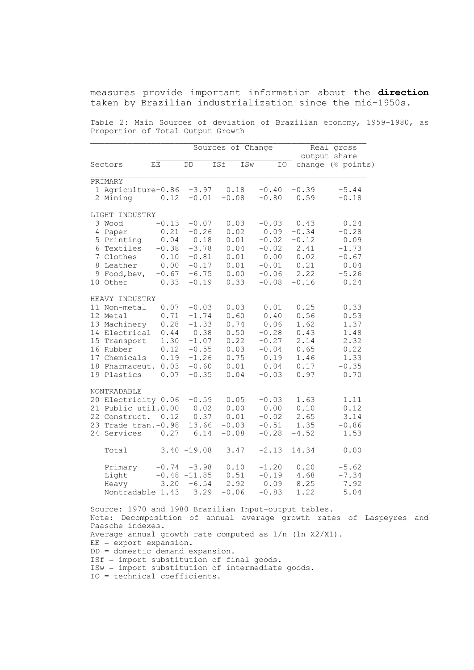measures provide important information about the **direction** taken by Brazilian industrialization since the mid-1950s.

Table 2: Main Sources of deviation of Brazilian economy, 1959-1980, as Proportion of Total Output Growth

|                          |                        |                | Sources of Change |         |         | Real gross<br>output share |
|--------------------------|------------------------|----------------|-------------------|---------|---------|----------------------------|
| Sectors                  | $\mathop{\mathbf{EE}}$ | $\mathsf{DD}$  | ISf<br>ISw        | IO      |         | change (% points)          |
|                          |                        |                |                   |         |         |                            |
| PRIMARY                  |                        |                |                   |         |         |                            |
| 1 Agriculture-0.86 -3.97 |                        |                | 0.18              | $-0.40$ | $-0.39$ | $-5.44$                    |
| 2 Mining                 | 0.12                   | $-0.01$        | $-0.08$           | $-0.80$ | 0.59    | $-0.18$                    |
| LIGHT INDUSTRY           |                        |                |                   |         |         |                            |
| 3 Wood                   | $-0.13$                | $-0.07$        | 0.03              | $-0.03$ | 0.43    | 0.24                       |
| 4 Paper                  | 0.21                   | $-0.26$        | 0.02              | 0.09    | $-0.34$ | $-0.28$                    |
| 5 Printing               | 0.04                   | 0.18           | 0.01              | $-0.02$ | $-0.12$ | 0.09                       |
| 6 Textiles               | $-0.38$                | $-3.78$        | 0.04              | $-0.02$ | 2.41    | $-1.73$                    |
| 7 Clothes                | 0.10                   | $-0.81$        | 0.01              | 0.00    | 0.02    | $-0.67$                    |
| 8 Leather                | 0.00                   | $-0.17$        | 0.01              | $-0.01$ | 0.21    | 0.04                       |
| 9 Food, bev,             | $-0.67$                | $-6.75$        | 0.00              | $-0.06$ | 2.22    | $-5.26$                    |
| 10 Other                 | 0.33                   | $-0.19$        | 0.33              | $-0.08$ | $-0.16$ | 0.24                       |
| HEAVY INDUSTRY           |                        |                |                   |         |         |                            |
| 11 Non-metal             | 0.07                   | $-0.03$        | 0.03              | 0.01    | 0.25    | 0.33                       |
| 12 Metal                 | 0.71                   | $-1.74$        | 0.60              | 0.40    | 0.56    | 0.53                       |
| 13 Machinery             | 0.28                   | $-1.33$        | 0.74              | 0.06    | 1.62    | 1.37                       |
| 14 Electrical            | 0.44                   | 0.38           | 0.50              | $-0.28$ | 0.43    | 1.48                       |
| 15 Transport             | 1.30                   | $-1.07$        | 0.22              | $-0.27$ | 2.14    | 2.32                       |
| 16 Rubber                | 0.12                   | $-0.55$        | 0.03              | $-0.04$ | 0.65    | 0.22                       |
| 17 Chemicals             | 0.19                   | $-1.26$        | 0.75              | 0.19    | 1.46    | 1.33                       |
| 18 Pharmaceut.           | 0.03                   | $-0.60$        | 0.01              | 0.04    | 0.17    | $-0.35$                    |
| 19 Plastics              | 0.07                   | $-0.35$        | 0.04              | $-0.03$ | 0.97    | 0.70                       |
| NONTRADABLE              |                        |                |                   |         |         |                            |
| 20 Electricity 0.06      |                        | $-0.59$        | 0.05              | $-0.03$ | 1.63    | 1.11                       |
| 21 Public util.0.00      |                        | 0.02           | 0.00              | 0.00    | 0.10    | 0.12                       |
| 22 Construct.            | 0.12                   | 0.37           | 0.01              | $-0.02$ | 2.65    | 3.14                       |
| 23 Trade tran.-0.98      |                        | 13.66          | $-0.03$           | $-0.51$ | 1.35    | $-0.86$                    |
| 24 Services              | 0.27                   | 6.14           | $-0.08$           | $-0.28$ | $-4.52$ | 1.53                       |
| Total                    |                        | $3.40 - 19.08$ | 3.47              | $-2.13$ | 14.34   | 0.00                       |
| Primary                  | $-0.74$                | $-3.98$        | 0.10              | $-1.20$ | 0.20    | $-5.62$                    |
| Light                    |                        | $-0.48 -11.85$ | 0.51              | $-0.19$ | 4.68    | $-7.34$                    |
| Heavy                    | 3.20                   | $-6.54$        | 2.92              | 0.09    | 8.25    | 7.92                       |
| Nontradable 1.43         |                        | 3.29           | $-0.06$           | $-0.83$ | 1.22    | 5.04                       |
|                          |                        |                |                   |         |         |                            |

Source: 1970 and 1980 Brazilian Input-output tables. Note: Decomposition of annual average growth rates of Laspeyres and Paasche indexes. Average annual growth rate computed as 1/n (ln X2/X1). EE = export expansion. DD = domestic demand expansion. ISf = import substitution of final goods. ISw = import substitution of intermediate goods. IO = technical coefficients.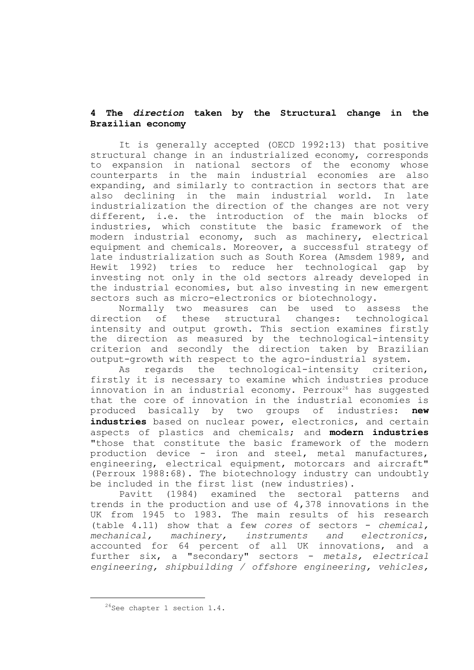# **4 The** *direction* **taken by the Structural change in the Brazilian economy**

It is generally accepted (OECD 1992:13) that positive structural change in an industrialized economy, corresponds to expansion in national sectors of the economy whose counterparts in the main industrial economies are also expanding, and similarly to contraction in sectors that are also declining in the main industrial world. In late industrialization the direction of the changes are not very different, i.e. the introduction of the main blocks of industries, which constitute the basic framework of the modern industrial economy, such as machinery, electrical equipment and chemicals. Moreover, a successful strategy of late industrialization such as South Korea (Amsdem 1989, and Hewit 1992) tries to reduce her technological gap by investing not only in the old sectors already developed in the industrial economies, but also investing in new emergent sectors such as micro-electronics or biotechnology.

Normally two measures can be used to assess the direction of these structural changes: technological intensity and output growth. This section examines firstly the direction as measured by the technological-intensity criterion and secondly the direction taken by Brazilian output-growth with respect to the agro-industrial system.

As regards the technological-intensity criterion, firstly it is necessary to examine which industries produce innovation in an industrial economy. Perroux<sup>26</sup> has suggested that the core of innovation in the industrial economies is produced basically by two groups of industries: **new**  industries based on nuclear power, electronics, and certain aspects of plastics and chemicals; and **modern industries** "those that constitute the basic framework of the modern production device - iron and steel, metal manufactures, engineering, electrical equipment, motorcars and aircraft" (Perroux 1988:68). The biotechnology industry can undoubtly be included in the first list (new industries).

Pavitt (1984) examined the sectoral patterns and trends in the production and use of 4,378 innovations in the UK from 1945 to 1983. The main results of his research (table 4.11) show that a few *cores* of sectors - *chemical, mechanical, machinery, instruments and electronics*, accounted for 64 percent of all UK innovations, and a further six, a "secondary" sectors - *metals*, electrical *engineering, shipbuilding / offshore engineering, vehicles,* 

i<br>L

 $2^{6}$ See chapter 1 section 1.4.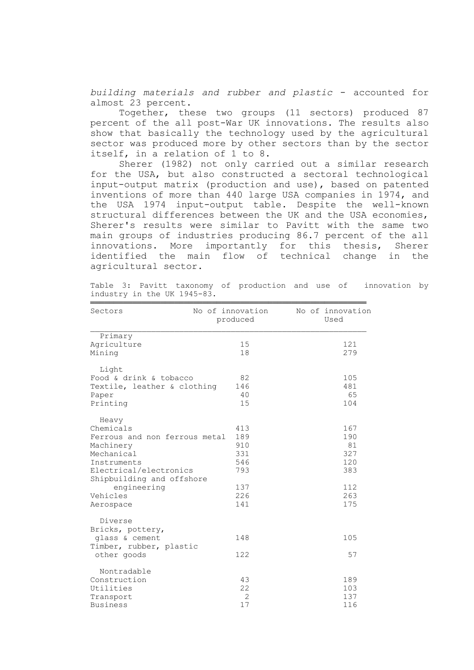*building materials and rubber and plastic* - accounted for almost 23 percent.

Together, these two groups (11 sectors) produced 87 percent of the all post-War UK innovations. The results also show that basically the technology used by the agricultural sector was produced more by other sectors than by the sector itself, in a relation of 1 to 8.

Sherer (1982) not only carried out a similar research for the USA, but also constructed a sectoral technological input-output matrix (production and use), based on patented inventions of more than 440 large USA companies in 1974, and the USA 1974 input-output table. Despite the well-known structural differences between the UK and the USA economies, Sherer's results were similar to Pavitt with the same two main groups of industries producing 86.7 percent of the all innovations. More importantly for this thesis, Sherer identified the main flow of technical change in the agricultural sector.

| Sectors                       | No of innovation<br>produced | No of innovation<br>Used |
|-------------------------------|------------------------------|--------------------------|
| Primary                       |                              |                          |
| Agriculture                   | 15                           | 121                      |
| Mining                        | 18                           | 279                      |
| Light                         |                              |                          |
| Food & drink & tobacco        | 82                           | 105                      |
| Textile, leather & clothing   | 146                          | 481                      |
| Paper                         | 40                           | 65                       |
| Printing                      | 15                           | 104                      |
| Heavy                         |                              |                          |
| Chemicals                     | 413                          | 167                      |
| Ferrous and non ferrous metal | 189                          | 190                      |
| Machinery                     | 910                          | 81                       |
| Mechanical                    | 331                          | 327                      |
| Instruments                   | 546                          | 120                      |
| Electrical/electronics        | 793                          | 383                      |
| Shipbuilding and offshore     |                              |                          |
| engineering                   | 137                          | 112                      |
| Vehicles                      | 226                          | 263                      |
| Aerospace                     | 141                          | 175                      |
| Diverse                       |                              |                          |
| Bricks, pottery,              |                              |                          |
| glass & cement                | 148                          | 105                      |
| Timber, rubber, plastic       |                              |                          |
| other goods                   | 122                          | 57                       |
| Nontradable                   |                              |                          |
| Construction                  | 43                           | 189                      |
| Utilities                     | 22                           | 103                      |
| Transport                     | $\overline{2}$               | 137                      |
| Business                      | 17                           | 116                      |

Table 3: Pavitt taxonomy of production and use of innovation by industry in the UK 1945-83.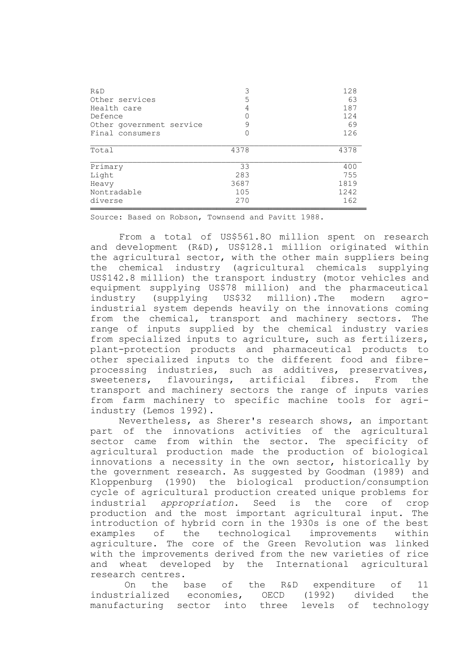| R&D                      | 3    | 128  |
|--------------------------|------|------|
| Other services           | 5    | 63   |
| Health care              | 4    | 187  |
| Defence                  | 0    | 124  |
| Other government service | 9    | 69   |
| Final consumers          | 0    | 126  |
| Total                    | 4378 | 4378 |
| Primary                  | 33   | 400  |
| Light                    | 283  | 755  |
| Heavy                    | 3687 | 1819 |
| Nontradable              | 105  | 1242 |
| diverse                  | 270  | 162  |

Source: Based on Robson, Townsend and Pavitt 1988.

From a total of US\$561.8O million spent on research and development (R&D), US\$128.1 million originated within the agricultural sector, with the other main suppliers being the chemical industry (agricultural chemicals supplying US\$142.8 million) the transport industry (motor vehicles and equipment supplying US\$78 million) and the pharmaceutical industry (supplying US\$32 million).The modern agroindustrial system depends heavily on the innovations coming from the chemical, transport and machinery sectors. The range of inputs supplied by the chemical industry varies from specialized inputs to agriculture, such as fertilizers, plant-protection products and pharmaceutical products to other specialized inputs to the different food and fibreprocessing industries, such as additives, preservatives, sweeteners, flavourings, artificial fibres. From the transport and machinery sectors the range of inputs varies from farm machinery to specific machine tools for agriindustry (Lemos 1992).

Nevertheless, as Sherer's research shows, an important part of the innovations activities of the agricultural sector came from within the sector. The specificity of agricultural production made the production of biological innovations a necessity in the own sector, historically by the government research. As suggested by Goodman (1989) and Kloppenburg (1990) the biological production/consumption cycle of agricultural production created unique problems for industrial *appropriation*. Seed is the core of crop production and the most important agricultural input. The introduction of hybrid corn in the 1930s is one of the best examples of the technological improvements within agriculture. The core of the Green Revolution was linked with the improvements derived from the new varieties of rice and wheat developed by the International agricultural research centres.

On the base of the R&D expenditure of 11 industrialized economies, OECD (1992) divided the manufacturing sector into three levels of technology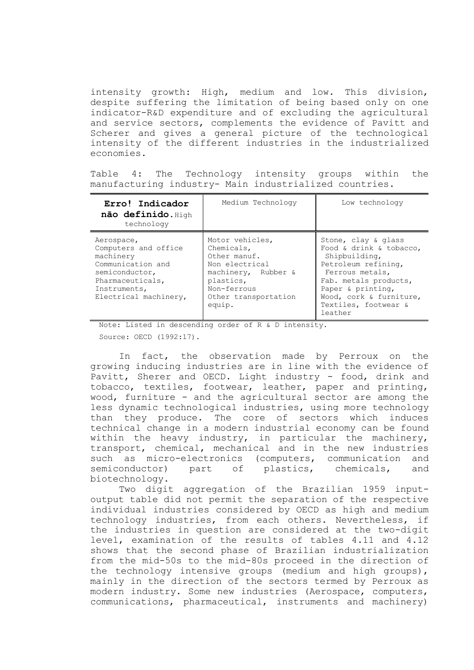intensity growth: High, medium and low. This division, despite suffering the limitation of being based only on one indicator-R&D expenditure and of excluding the agricultural and service sectors, complements the evidence of Pavitt and Scherer and gives a general picture of the technological intensity of the different industries in the industrialized economies.

Table 4: The Technology intensity groups within the manufacturing industry- Main industrialized countries.

| Erro! Indicador<br>não definido. High<br>technology                                                                                                 | Medium Technology                                                                                                                                    | Low technology                                                                                                                                                                                                        |
|-----------------------------------------------------------------------------------------------------------------------------------------------------|------------------------------------------------------------------------------------------------------------------------------------------------------|-----------------------------------------------------------------------------------------------------------------------------------------------------------------------------------------------------------------------|
| Aerospace,<br>Computers and office<br>machinery<br>Communication and<br>semiconductor,<br>Pharmaceuticals,<br>Instruments,<br>Electrical machinery, | Motor vehicles,<br>Chemicals,<br>Other manuf.<br>Non electrical<br>machinery, Rubber &<br>plastics,<br>Non-ferrous<br>Other transportation<br>equip. | Stone, clay & glass<br>Food & drink & tobacco,<br>Shipbuilding,<br>Petroleum refining,<br>Ferrous metals,<br>Fab. metals products,<br>Paper & printing,<br>Wood, cork & furniture,<br>Textiles, footwear &<br>leather |

 Note: Listed in descending order of R & D intensity. Source: OECD (1992:17).

In fact, the observation made by Perroux on the growing inducing industries are in line with the evidence of Pavitt, Sherer and OECD. Light industry - food, drink and tobacco, textiles, footwear, leather, paper and printing, wood, furniture - and the agricultural sector are among the less dynamic technological industries, using more technology than they produce. The core of sectors which induces technical change in a modern industrial economy can be found within the heavy industry, in particular the machinery, transport, chemical, mechanical and in the new industries such as micro-electronics (computers, communication and semiconductor) part of plastics, chemicals, and biotechnology.

Two digit aggregation of the Brazilian 1959 inputoutput table did not permit the separation of the respective individual industries considered by OECD as high and medium technology industries, from each others. Nevertheless, if the industries in question are considered at the two-digit level, examination of the results of tables 4.11 and 4.12 shows that the second phase of Brazilian industrialization from the mid-50s to the mid-80s proceed in the direction of the technology intensive groups (medium and high groups), mainly in the direction of the sectors termed by Perroux as modern industry. Some new industries (Aerospace, computers, communications, pharmaceutical, instruments and machinery)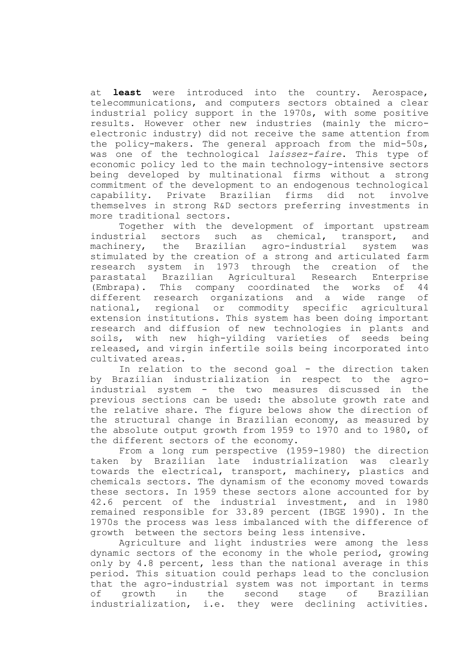at **least** were introduced into the country. Aerospace, telecommunications, and computers sectors obtained a clear industrial policy support in the 1970s, with some positive results. However other new industries (mainly the microelectronic industry) did not receive the same attention from the policy-makers. The general approach from the mid-50s, was one of the technological *laissez-faire*. This type of economic policy led to the main technology-intensive sectors being developed by multinational firms without a strong commitment of the development to an endogenous technological capability. Private Brazilian firms did not involve themselves in strong R&D sectors preferring investments in more traditional sectors.

Together with the development of important upstream industrial sectors such as chemical, transport, and machinery, the Brazilian agro-industrial system was stimulated by the creation of a strong and articulated farm research system in 1973 through the creation of the parastatal Brazilian Agricultural Research Enterprise (Embrapa). This company coordinated the works of 44 different research organizations and a wide range of national, regional or commodity specific agricultural extension institutions. This system has been doing important research and diffusion of new technologies in plants and soils, with new high-yilding varieties of seeds being released, and virgin infertile soils being incorporated into cultivated areas.

In relation to the second goal - the direction taken by Brazilian industrialization in respect to the agroindustrial system - the two measures discussed in the previous sections can be used: the absolute growth rate and the relative share. The figure belows show the direction of the structural change in Brazilian economy, as measured by the absolute output growth from 1959 to 1970 and to 1980, of the different sectors of the economy.

From a long rum perspective (1959-1980) the direction taken by Brazilian late industrialization was clearly towards the electrical, transport, machinery, plastics and chemicals sectors. The dynamism of the economy moved towards these sectors. In 1959 these sectors alone accounted for by 42.6 percent of the industrial investment, and in 1980 remained responsible for 33.89 percent (IBGE 1990). In the 1970s the process was less imbalanced with the difference of growth between the sectors being less intensive.

Agriculture and light industries were among the less dynamic sectors of the economy in the whole period, growing only by 4.8 percent, less than the national average in this period. This situation could perhaps lead to the conclusion that the agro-industrial system was not important in terms of growth in the second stage of Brazilian industrialization, i.e. they were declining activities.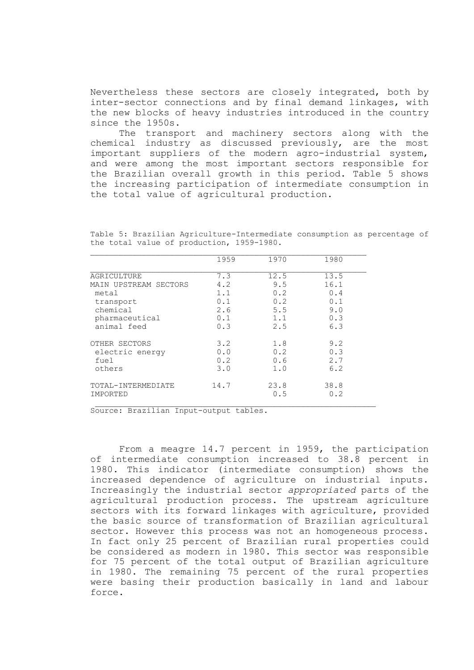Nevertheless these sectors are closely integrated, both by inter-sector connections and by final demand linkages, with the new blocks of heavy industries introduced in the country since the 1950s.

The transport and machinery sectors along with the chemical industry as discussed previously, are the most important suppliers of the modern agro-industrial system, and were among the most important sectors responsible for the Brazilian overall growth in this period. Table 5 shows the increasing participation of intermediate consumption in the total value of agricultural production.

| 1959 | 1970        | 1980        |
|------|-------------|-------------|
| 7.3  | 12.5        | 13.5        |
| 4.2  | 9.5         | 16.1        |
| 1.1  | 0.2         | 0.4         |
| 0.1  | 0.2         | 0.1         |
| 2.6  | 5.5         | 9.0         |
| 0.1  | 1.1         | 0.3         |
| 0.3  | 2.5         | 6.3         |
| 3.2  | 1.8         | 9.2         |
| 0.0  | 0.2         | 0.3         |
| 0.2  | 0.6         | 2.7         |
| 3.0  | 1.0         | 6.2         |
| 14.7 | 23.8<br>0.5 | 38.8<br>0.2 |
|      |             |             |

Table 5: Brazilian Agriculture-Intermediate consumption as percentage of the total value of production, 1959-1980.

Source: Brazilian Input-output tables.

From a meagre 14.7 percent in 1959, the participation of intermediate consumption increased to 38.8 percent in 1980. This indicator (intermediate consumption) shows the increased dependence of agriculture on industrial inputs. Increasingly the industrial sector *appropriated* parts of the agricultural production process. The upstream agriculture sectors with its forward linkages with agriculture, provided the basic source of transformation of Brazilian agricultural sector. However this process was not an homogeneous process. In fact only 25 percent of Brazilian rural properties could be considered as modern in 1980. This sector was responsible for 75 percent of the total output of Brazilian agriculture in 1980. The remaining 75 percent of the rural properties were basing their production basically in land and labour force.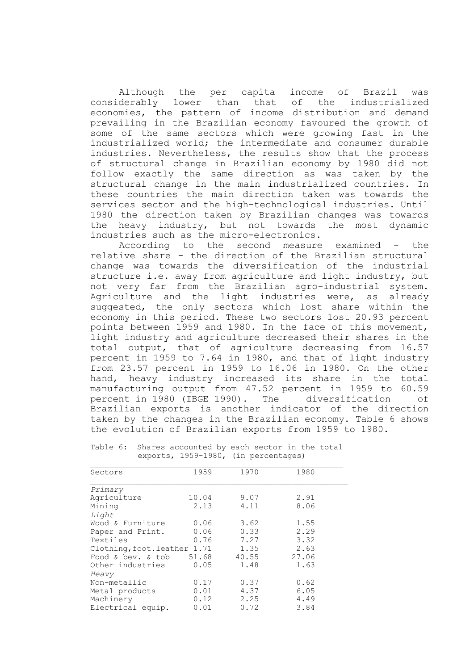Although the per capita income of Brazil was considerably lower than that of the industrialized economies, the pattern of income distribution and demand prevailing in the Brazilian economy favoured the growth of some of the same sectors which were growing fast in the industrialized world; the intermediate and consumer durable industries. Nevertheless, the results show that the process of structural change in Brazilian economy by 1980 did not follow exactly the same direction as was taken by the structural change in the main industrialized countries. In these countries the main direction taken was towards the services sector and the high-technological industries. Until 1980 the direction taken by Brazilian changes was towards the heavy industry, but not towards the most dynamic industries such as the micro-electronics.

According to the second measure examined - the relative share - the direction of the Brazilian structural change was towards the diversification of the industrial structure i.e. away from agriculture and light industry, but not very far from the Brazilian agro-industrial system. Agriculture and the light industries were, as already suggested, the only sectors which lost share within the economy in this period. These two sectors lost 20.93 percent points between 1959 and 1980. In the face of this movement, light industry and agriculture decreased their shares in the total output, that of agriculture decreasing from 16.57 percent in 1959 to 7.64 in 1980, and that of light industry from 23.57 percent in 1959 to 16.06 in 1980. On the other hand, heavy industry increased its share in the total manufacturing output from 47.52 percent in 1959 to 60.59 percent in 1980 (IBGE 1990). The diversification of Brazilian exports is another indicator of the direction taken by the changes in the Brazilian economy. Table 6 shows the evolution of Brazilian exports from 1959 to 1980.

| Sectors                      | 1959  | 1970  | 1980  |
|------------------------------|-------|-------|-------|
| Primary                      |       |       |       |
| Agriculture                  | 10.04 | 9.07  | 2.91  |
| Mining                       | 2.13  | 4.11  | 8.06  |
| Light                        |       |       |       |
| Wood & Furniture             | 0.06  | 3.62  | 1.55  |
| Paper and Print.             | 0.06  | 0.33  | 2.29  |
| Textiles                     | 0.76  | 7.27  | 3.32  |
| Clothing, foot. leather 1.71 |       | 1.35  | 2.63  |
| Food & bev. & tob            | 51.68 | 40.55 | 27.06 |
| Other industries             | 0.05  | 1.48  | 1.63  |
| Heavy                        |       |       |       |
| Non-metallic                 | 0.17  | 0.37  | 0.62  |
| Metal products               | 0.01  | 4.37  | 6.05  |
| Machinery                    | 0.12  | 2.25  | 4.49  |
| Electrical equip.            | 0.01  | 0.72  | 3.84  |

Table 6: Shares accounted by each sector in the total exports, 1959-1980, (in percentages)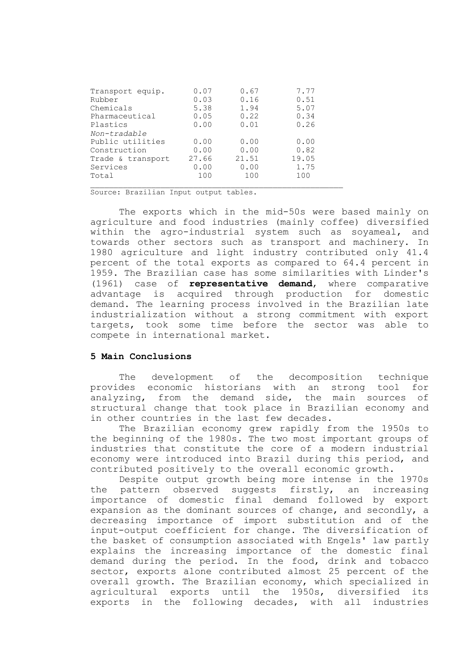| Transport equip.  | 0.07  | 0.67  | 7.77  |
|-------------------|-------|-------|-------|
| Rubber            | 0.03  | 0.16  | 0.51  |
| Chemicals         | 5.38  | 1.94  | 5.07  |
| Pharmaceutical    | 0.05  | 0.22  | 0.34  |
| Plastics          | 0.00  | 0.01  | 0.26  |
| Non-tradable      |       |       |       |
| Public utilities  | 0.00  | 0.00  | 0.00  |
| Construction      | 0.00  | 0.00  | 0.82  |
| Trade & transport | 27.66 | 21.51 | 19.05 |
| Services          | 0.00  | 0.00  | 1.75  |
| Total             | 100   | 100   | 100   |

Source: Brazilian Input output tables.

The exports which in the mid-50s were based mainly on agriculture and food industries (mainly coffee) diversified within the agro-industrial system such as soyameal, and towards other sectors such as transport and machinery. In 1980 agriculture and light industry contributed only 41.4 percent of the total exports as compared to 64.4 percent in 1959. The Brazilian case has some similarities with Linder's (1961) case of **representative demand**, where comparative advantage is acquired through production for domestic demand. The learning process involved in the Brazilian late industrialization without a strong commitment with export targets, took some time before the sector was able to compete in international market.

### **5 Main Conclusions**

The development of the decomposition technique provides economic historians with an strong tool for analyzing, from the demand side, the main sources of structural change that took place in Brazilian economy and in other countries in the last few decades.

The Brazilian economy grew rapidly from the 1950s to the beginning of the 1980s. The two most important groups of industries that constitute the core of a modern industrial economy were introduced into Brazil during this period, and contributed positively to the overall economic growth.

Despite output growth being more intense in the 1970s the pattern observed suggests firstly, an increasing importance of domestic final demand followed by export expansion as the dominant sources of change, and secondly, a decreasing importance of import substitution and of the input-output coefficient for change. The diversification of the basket of consumption associated with Engels' law partly explains the increasing importance of the domestic final demand during the period. In the food, drink and tobacco sector, exports alone contributed almost 25 percent of the overall growth. The Brazilian economy, which specialized in agricultural exports until the 1950s, diversified its exports in the following decades, with all industries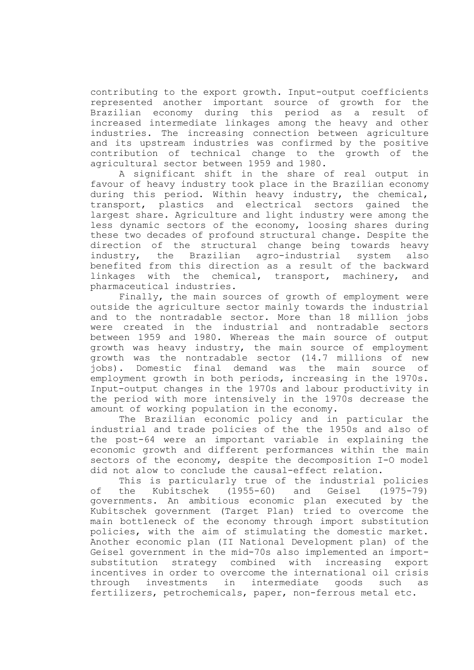contributing to the export growth. Input-output coefficients represented another important source of growth for the Brazilian economy during this period as a result of increased intermediate linkages among the heavy and other industries. The increasing connection between agriculture and its upstream industries was confirmed by the positive contribution of technical change to the growth of the agricultural sector between 1959 and 1980.

A significant shift in the share of real output in favour of heavy industry took place in the Brazilian economy during this period. Within heavy industry, the chemical, transport, plastics and electrical sectors gained the largest share. Agriculture and light industry were among the less dynamic sectors of the economy, loosing shares during these two decades of profound structural change. Despite the direction of the structural change being towards heavy industry, the Brazilian agro-industrial system also benefited from this direction as a result of the backward linkages with the chemical, transport, machinery, and pharmaceutical industries.

Finally, the main sources of growth of employment were outside the agriculture sector mainly towards the industrial and to the nontradable sector. More than 18 million jobs were created in the industrial and nontradable sectors between 1959 and 1980. Whereas the main source of output growth was heavy industry, the main source of employment growth was the nontradable sector (14.7 millions of new jobs). Domestic final demand was the main source of employment growth in both periods, increasing in the 1970s. Input-output changes in the 1970s and labour productivity in the period with more intensively in the 1970s decrease the amount of working population in the economy.

The Brazilian economic policy and in particular the industrial and trade policies of the the 1950s and also of the post-64 were an important variable in explaining the economic growth and different performances within the main sectors of the economy, despite the decomposition I-O model did not alow to conclude the causal-effect relation.

This is particularly true of the industrial policies of the Kubitschek (1955-60) and Geisel (1975-79) governments. An ambitious economic plan executed by the Kubitschek government (Target Plan) tried to overcome the main bottleneck of the economy through import substitution policies, with the aim of stimulating the domestic market. Another economic plan (II National Development plan) of the Geisel government in the mid-70s also implemented an importsubstitution strategy combined with increasing export incentives in order to overcome the international oil crisis through investments in intermediate goods such as fertilizers, petrochemicals, paper, non-ferrous metal etc.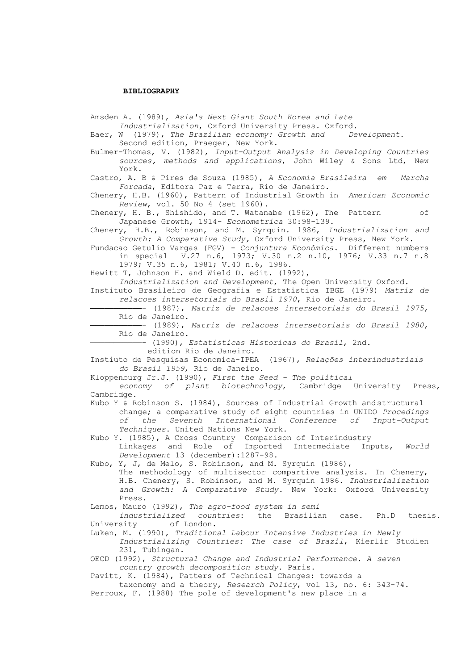### **BIBLIOGRAPHY**

Amsden A. (1989), *Asia's Next Giant South Korea and Late Industrialization*, Oxford University Press. Oxford. Baer, W (1979), *The Brazilian economy: Growth and Development*. Second edition, Praeger, New York. Bulmer-Thomas, V. (1982), *Input-Output Analysis in Developing Countries sources, methods and applications*, John Wiley & Sons Ltd, New York. Castro, A. B & Pires de Souza (1985), *A Economia Brasileira em Marcha Forcada*, Editora Paz e Terra, Rio de Janeiro. Chenery, H.B. (1960), Pattern of Industrial Growth in *American Economic Review*, vol. 50 No 4 (set 1960). Chenery, H. B., Shishido, and T. Watanabe (1962), The Pattern of Japanese Growth, 1914- *Econometrica* 30:98-139. Chenery, H.B., Robinson, and M. Syrquin. 1986, *Industrialization and Growth: A Comparative Study,* Oxford University Press, New York. Fundacao Getulio Vargas (FGV) - *Conjuntura Econômica*. Different numbers in special V.27 n.6, 1973; V.30 n.2 n.10, 1976; V.33 n.7 n.8 1979; V.35 n.6, 1981; V.40 n.6, 1986. Hewitt T, Johnson H. and Wield D. edit. (1992), *Industrialization and Development*, The Open University Oxford. Instituto Brasileiro de Geografia e Estatistica IBGE (1979) *Matriz de relacoes intersetoriais do Brasil 1970*, Rio de Janeiro. ───────────- (1987), *Matriz de relacoes intersetoriais do Brasil 1975*, Rio de Janeiro. ───────────- (1989), *Matriz de relacoes intersetoriais do Brasil 1980*, Rio de Janeiro. ───────────- (1990), *Estatisticas Historicas do Brasil*, 2nd. edition Rio de Janeiro. Instiuto de Pesquisas Economica-IPEA (1967), *Relações interindustriais do Brasil 1959*, Rio de Janeiro. Kloppenburg Jr.J. (1990), *First the Seed - The political economy of plant biotechnology*, Cambridge University Press, Cambridge. Kubo Y & Robinson S. (1984), Sources of Industrial Growth andstructural change; a comparative study of eight countries in UNIDO *Procedings of the Seventh International Conference of Input-Output Techniques*. United Nations New York. Kubo Y. (1985), A Cross Country Comparison of Interindustry Linkages and Role of Imported Intermediate Inputs, *World Development* 13 (december):1287-98. Kubo, Y, J, de Melo, S. Robinson, and M. Syrquin (1986), The methodology of multisector compartive analysis. In Chenery, H.B. Chenery, S. Robinson, and M. Syrquin 1986. *Industrialization and Growth: A Comparative Study*. New York: Oxford University Press. Lemos, Mauro (1992), *The agro-food system in semi industrialized countries*: the Brasilian case. Ph.D thesis. University of London. Luken, M. (1990), *Traditional Labour Intensive Industries in Newly Industrializing Countries: The case of Brazil*, Kierlir Studien 231, Tubingan. OECD (1992), *Structural Change and Industrial Performance. A seven country growth decomposition study*. Paris. Pavitt, K. (1984), Patters of Technical Changes: towards a taxonomy and a theory, *Research Policy*, vol 13, no. 6: 343-74. Perroux, F. (1988) The pole of development's new place in a